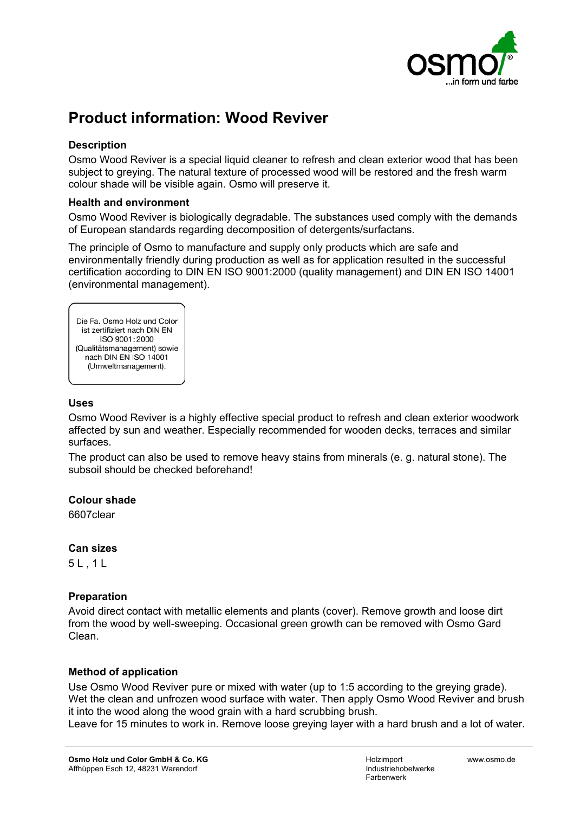

# **Product information: Wood Reviver**

# **Description**

Osmo Wood Reviver is a special liquid cleaner to refresh and clean exterior wood that has been subject to greying. The natural texture of processed wood will be restored and the fresh warm colour shade will be visible again. Osmo will preserve it.

## **Health and environment**

Osmo Wood Reviver is biologically degradable. The substances used comply with the demands of European standards regarding decomposition of detergents/surfactans.

The principle of Osmo to manufacture and supply only products which are safe and environmentally friendly during production as well as for application resulted in the successful certification according to DIN EN ISO 9001:2000 (quality management) and DIN EN ISO 14001 (environmental management).

Die Fa. Osmo Holz und Color ist zertifiziert nach DIN EN ISO 9001:2000 (Qualitätsmanagement) sowie nach DIN EN ISO 14001 (Umweltmanagement).

## **Uses**

Osmo Wood Reviver is a highly effective special product to refresh and clean exterior woodwork affected by sun and weather. Especially recommended for wooden decks, terraces and similar surfaces.

The product can also be used to remove heavy stains from minerals (e. g. natural stone). The subsoil should be checked beforehand!

## **Colour shade**

6607clear

## **Can sizes**

5 L , 1 L

# **Preparation**

Avoid direct contact with metallic elements and plants (cover). Remove growth and loose dirt from the wood by well-sweeping. Occasional green growth can be removed with Osmo Gard Clean.

## **Method of application**

Use Osmo Wood Reviver pure or mixed with water (up to 1:5 according to the greying grade). Wet the clean and unfrozen wood surface with water. Then apply Osmo Wood Reviver and brush it into the wood along the wood grain with a hard scrubbing brush.

Leave for 15 minutes to work in. Remove loose greying layer with a hard brush and a lot of water.